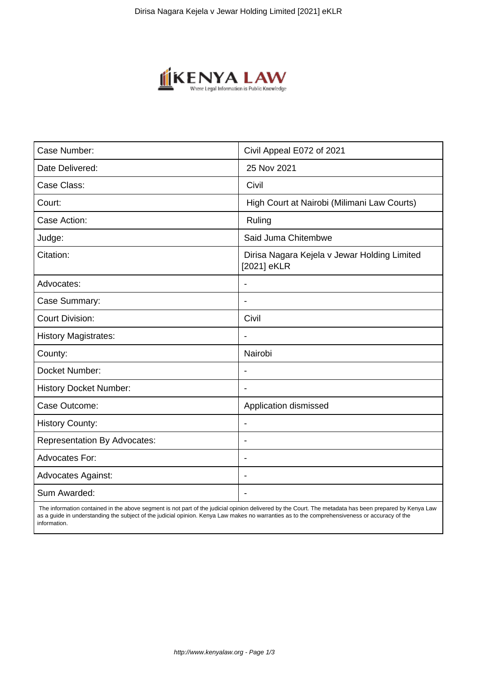

| Case Number:                        | Civil Appeal E072 of 2021                                   |
|-------------------------------------|-------------------------------------------------------------|
| Date Delivered:                     | 25 Nov 2021                                                 |
| Case Class:                         | Civil                                                       |
| Court:                              | High Court at Nairobi (Milimani Law Courts)                 |
| Case Action:                        | Ruling                                                      |
| Judge:                              | Said Juma Chitembwe                                         |
| Citation:                           | Dirisa Nagara Kejela v Jewar Holding Limited<br>[2021] eKLR |
| Advocates:                          |                                                             |
| Case Summary:                       |                                                             |
| <b>Court Division:</b>              | Civil                                                       |
| <b>History Magistrates:</b>         | $\blacksquare$                                              |
| County:                             | Nairobi                                                     |
| Docket Number:                      |                                                             |
| <b>History Docket Number:</b>       |                                                             |
| Case Outcome:                       | Application dismissed                                       |
| <b>History County:</b>              | $\blacksquare$                                              |
| <b>Representation By Advocates:</b> | $\overline{\phantom{0}}$                                    |
| <b>Advocates For:</b>               | ÷.                                                          |
| <b>Advocates Against:</b>           |                                                             |
| Sum Awarded:                        |                                                             |

 The information contained in the above segment is not part of the judicial opinion delivered by the Court. The metadata has been prepared by Kenya Law as a guide in understanding the subject of the judicial opinion. Kenya Law makes no warranties as to the comprehensiveness or accuracy of the information.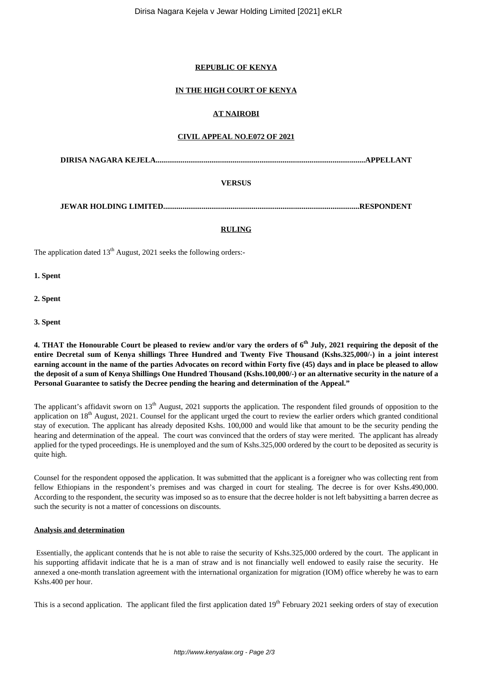# **REPUBLIC OF KENYA**

# **IN THE HIGH COURT OF KENYA**

# **AT NAIROBI**

### **CIVIL APPEAL NO.E072 OF 2021**

**DIRISA NAGARA KEJELA.............................................................................................................APPELLANT**

# **VERSUS**

**JEWAR HOLDING LIMITED......................................................................................................RESPONDENT**

#### **RULING**

The application dated  $13<sup>th</sup>$  August, 2021 seeks the following orders:-

**1. Spent**

**2. Spent**

**3. Spent** 

**4. THAT the Honourable Court be pleased to review and/or vary the orders of 6th July, 2021 requiring the deposit of the entire Decretal sum of Kenya shillings Three Hundred and Twenty Five Thousand (Kshs.325,000/-) in a joint interest earning account in the name of the parties Advocates on record within Forty five (45) days and in place be pleased to allow the deposit of a sum of Kenya Shillings One Hundred Thousand (Kshs.100,000/-) or an alternative security in the nature of a Personal Guarantee to satisfy the Decree pending the hearing and determination of the Appeal."**

The applicant's affidavit sworn on 13<sup>th</sup> August, 2021 supports the application. The respondent filed grounds of opposition to the application on 18<sup>th</sup> August, 2021. Counsel for the applicant urged the court to review the earlier orders which granted conditional stay of execution. The applicant has already deposited Kshs. 100,000 and would like that amount to be the security pending the hearing and determination of the appeal. The court was convinced that the orders of stay were merited. The applicant has already applied for the typed proceedings. He is unemployed and the sum of Kshs.325,000 ordered by the court to be deposited as security is quite high.

Counsel for the respondent opposed the application. It was submitted that the applicant is a foreigner who was collecting rent from fellow Ethiopians in the respondent's premises and was charged in court for stealing. The decree is for over Kshs.490,000. According to the respondent, the security was imposed so as to ensure that the decree holder is not left babysitting a barren decree as such the security is not a matter of concessions on discounts.

#### **Analysis and determination**

Essentially, the applicant contends that he is not able to raise the security of Kshs.325,000 ordered by the court. The applicant in his supporting affidavit indicate that he is a man of straw and is not financially well endowed to easily raise the security. He annexed a one-month translation agreement with the international organization for migration (IOM) office whereby he was to earn Kshs.400 per hour.

This is a second application. The applicant filed the first application dated 19<sup>th</sup> February 2021 seeking orders of stay of execution